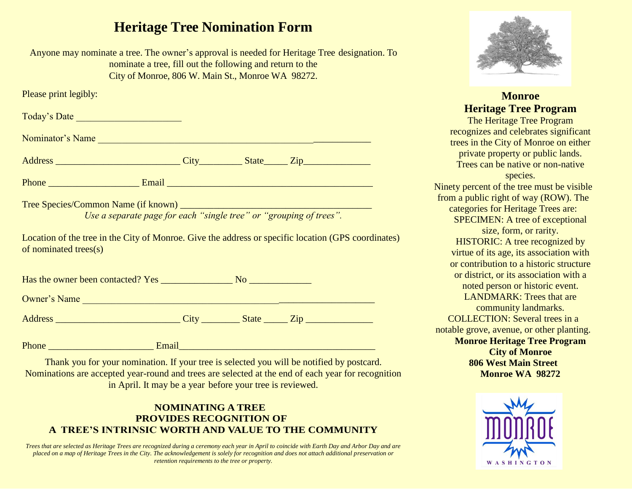## **Heritage Tree Nomination Form**

Anyone may nominate a tree. The owner's approval is needed for Heritage Tree designation. To nominate a tree, fill out the following and return to the City of Monroe, 806 W. Main St., Monroe WA 98272.

| Please print legibly:                                                                                                        |                                                                    |  |  |
|------------------------------------------------------------------------------------------------------------------------------|--------------------------------------------------------------------|--|--|
| Today's Date                                                                                                                 |                                                                    |  |  |
|                                                                                                                              |                                                                    |  |  |
|                                                                                                                              |                                                                    |  |  |
|                                                                                                                              |                                                                    |  |  |
|                                                                                                                              | Use a separate page for each "single tree" or "grouping of trees". |  |  |
| Location of the tree in the City of Monroe. Give the address or specific location (GPS coordinates)<br>of nominated trees(s) |                                                                    |  |  |
|                                                                                                                              |                                                                    |  |  |
|                                                                                                                              |                                                                    |  |  |
|                                                                                                                              |                                                                    |  |  |
|                                                                                                                              |                                                                    |  |  |

Thank you for your nomination. If your tree is selected you will be notified by postcard. Nominations are accepted year-round and trees are selected at the end of each year for recognition in April. It may be a year before your tree is reviewed.

## **NOMINATING A TREE PROVIDES RECOGNITION OF A TREE'S INTRINSIC WORTH AND VALUE TO THE COMMUNITY**

*Trees that are selected as Heritage Trees are recognized during a ceremony each year in April to coincide with Earth Day and Arbor Day and are placed on a map of Heritage Trees in the City. The acknowledgement is solely for recognition and does not attach additional preservation or retention requirements to the tree or property.*



**Monroe Heritage Tree Program** The Heritage Tree Program recognizes and celebrates significant trees in the City of Monroe on either private property or public lands. Trees can be native or non-native species. Ninety percent of the tree must be visible from a public right of way (ROW). The categories for Heritage Trees are: SPECIMEN: A tree of exceptional size, form, or rarity. HISTORIC: A tree recognized by virtue of its age, its association with or contribution to a historic structure or district, or its association with a noted person or historic event. LANDMARK: Trees that are community landmarks. COLLECTION: Several trees in a notable grove, avenue, or other planting. **Monroe Heritage Tree Program City of Monroe 806 West Main Street Monroe WA 98272**